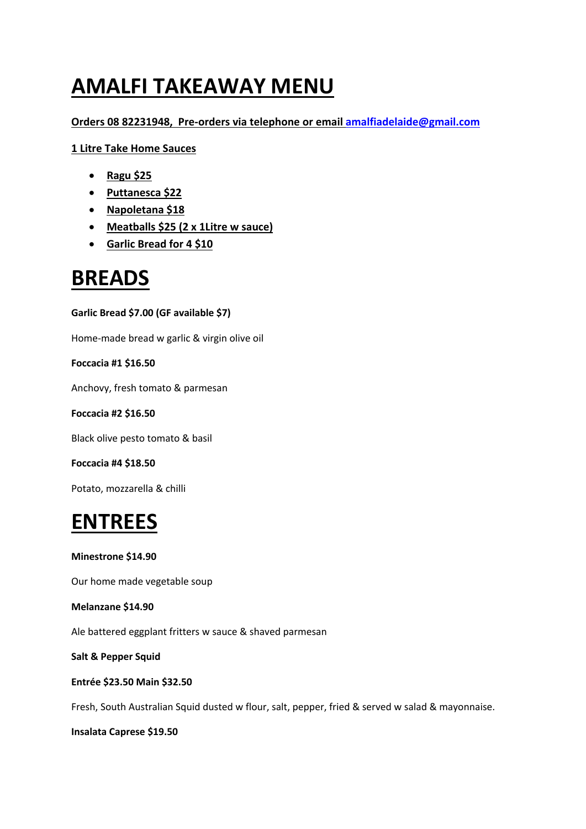# **AMALFI TAKEAWAY MENU**

## **Orders 08 82231948, Pre-orders via telephone or email amalfiadelaide@gmail.com**

**1 Litre Take Home Sauces**

- **Ragu \$25**
- **Puttanesca \$22**
- **Napoletana \$18**
- **Meatballs \$25 (2 x 1Litre w sauce)**
- **Garlic Bread for 4 \$10**

## **BREADS**

**Garlic Bread \$7.00 (GF available \$7)**

Home-made bread w garlic & virgin olive oil

**Foccacia #1 \$16.50**

Anchovy, fresh tomato & parmesan

**Foccacia #2 \$16.50**

Black olive pesto tomato & basil

**Foccacia #4 \$18.50**

Potato, mozzarella & chilli

# **ENTREES**

**Minestrone \$14.90**

Our home made vegetable soup

**Melanzane \$14.90**

Ale battered eggplant fritters w sauce & shaved parmesan

**Salt & Pepper Squid**

**Entrée \$23.50 Main \$32.50**

Fresh, South Australian Squid dusted w flour, salt, pepper, fried & served w salad & mayonnaise.

**Insalata Caprese \$19.50**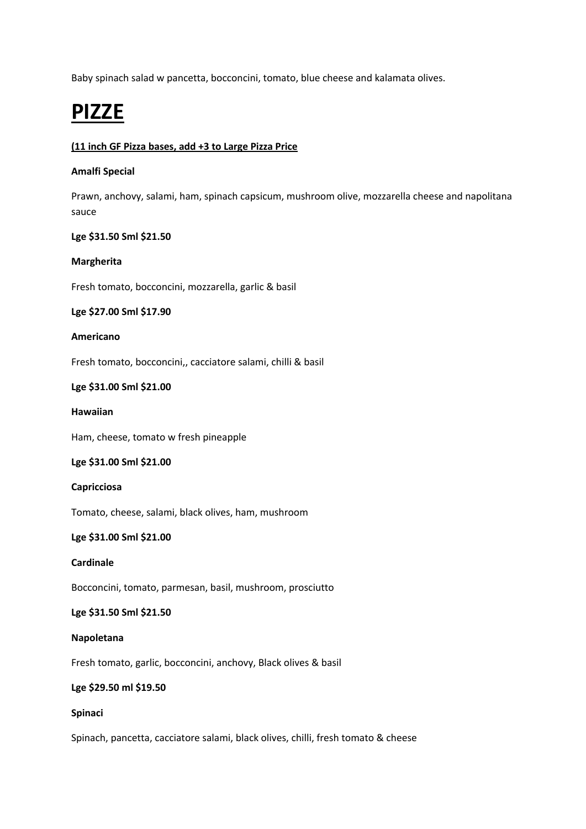Baby spinach salad w pancetta, bocconcini, tomato, blue cheese and kalamata olives.

# **PIZZE**

## **(11 inch GF Pizza bases, add +3 to Large Pizza Price**

## **Amalfi Special**

Prawn, anchovy, salami, ham, spinach capsicum, mushroom olive, mozzarella cheese and napolitana sauce

## **Lge \$31.50 Sml \$21.50**

## **Margherita**

Fresh tomato, bocconcini, mozzarella, garlic & basil

## **Lge \$27.00 Sml \$17.90**

#### **Americano**

Fresh tomato, bocconcini,, cacciatore salami, chilli & basil

## **Lge \$31.00 Sml \$21.00**

#### **Hawaiian**

Ham, cheese, tomato w fresh pineapple

## **Lge \$31.00 Sml \$21.00**

## **Capricciosa**

Tomato, cheese, salami, black olives, ham, mushroom

## **Lge \$31.00 Sml \$21.00**

## **Cardinale**

Bocconcini, tomato, parmesan, basil, mushroom, prosciutto

#### **Lge \$31.50 Sml \$21.50**

## **Napoletana**

Fresh tomato, garlic, bocconcini, anchovy, Black olives & basil

## **Lge \$29.50 ml \$19.50**

## **Spinaci**

Spinach, pancetta, cacciatore salami, black olives, chilli, fresh tomato & cheese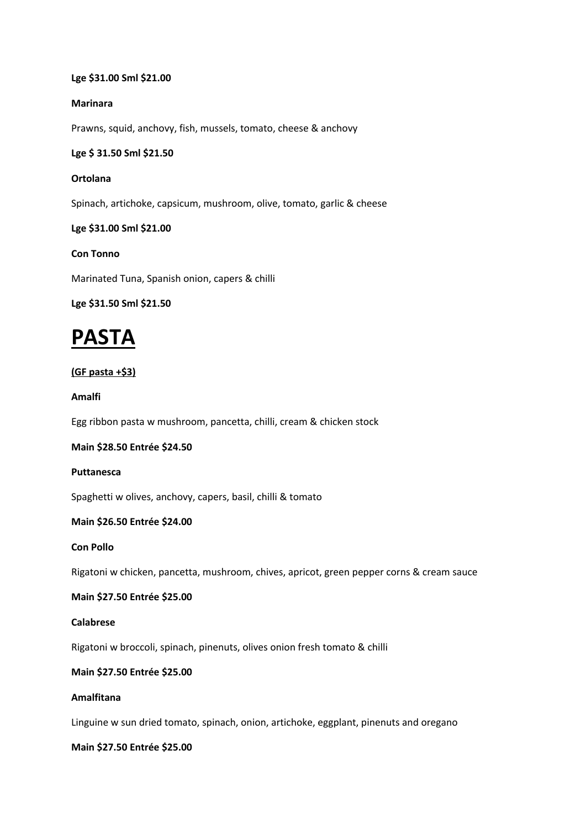## **Lge \$31.00 Sml \$21.00**

#### **Marinara**

Prawns, squid, anchovy, fish, mussels, tomato, cheese & anchovy

#### **Lge \$ 31.50 Sml \$21.50**

#### **Ortolana**

Spinach, artichoke, capsicum, mushroom, olive, tomato, garlic & cheese

#### **Lge \$31.00 Sml \$21.00**

## **Con Tonno**

Marinated Tuna, Spanish onion, capers & chilli

#### **Lge \$31.50 Sml \$21.50**

## **PASTA**

## **(GF pasta +\$3)**

#### **Amalfi**

Egg ribbon pasta w mushroom, pancetta, chilli, cream & chicken stock

#### **Main \$28.50 Entrée \$24.50**

#### **Puttanesca**

Spaghetti w olives, anchovy, capers, basil, chilli & tomato

## **Main \$26.50 Entrée \$24.00**

#### **Con Pollo**

Rigatoni w chicken, pancetta, mushroom, chives, apricot, green pepper corns & cream sauce

## **Main \$27.50 Entrée \$25.00**

## **Calabrese**

Rigatoni w broccoli, spinach, pinenuts, olives onion fresh tomato & chilli

## **Main \$27.50 Entrée \$25.00**

## **Amalfitana**

Linguine w sun dried tomato, spinach, onion, artichoke, eggplant, pinenuts and oregano

#### **Main \$27.50 Entrée \$25.00**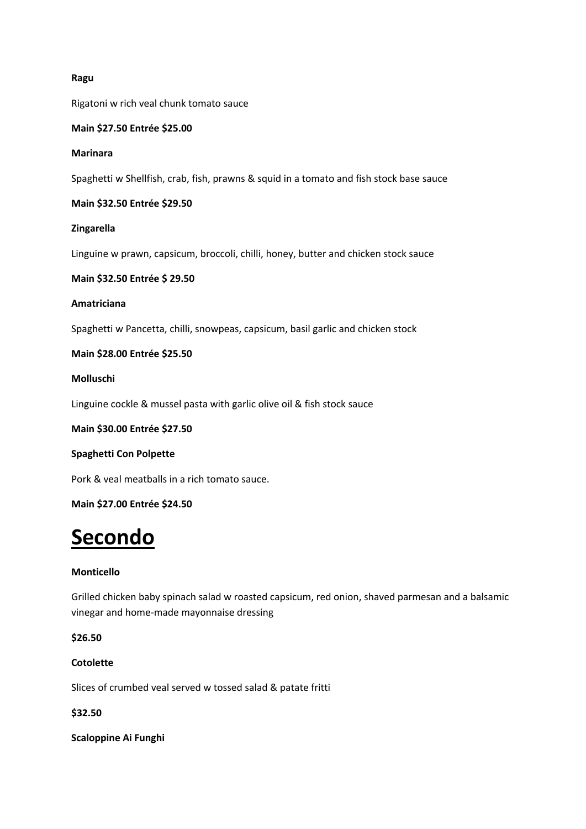## **Ragu**

Rigatoni w rich veal chunk tomato sauce

#### **Main \$27.50 Entrée \$25.00**

#### **Marinara**

Spaghetti w Shellfish, crab, fish, prawns & squid in a tomato and fish stock base sauce

#### **Main \$32.50 Entrée \$29.50**

#### **Zingarella**

Linguine w prawn, capsicum, broccoli, chilli, honey, butter and chicken stock sauce

#### **Main \$32.50 Entrée \$ 29.50**

#### **Amatriciana**

Spaghetti w Pancetta, chilli, snowpeas, capsicum, basil garlic and chicken stock

#### **Main \$28.00 Entrée \$25.50**

#### **Molluschi**

Linguine cockle & mussel pasta with garlic olive oil & fish stock sauce

#### **Main \$30.00 Entrée \$27.50**

## **Spaghetti Con Polpette**

Pork & veal meatballs in a rich tomato sauce.

## **Main \$27.00 Entrée \$24.50**

## **Secondo**

## **Monticello**

Grilled chicken baby spinach salad w roasted capsicum, red onion, shaved parmesan and a balsamic vinegar and home-made mayonnaise dressing

**\$26.50**

### **Cotolette**

Slices of crumbed veal served w tossed salad & patate fritti

#### **\$32.50**

**Scaloppine Ai Funghi**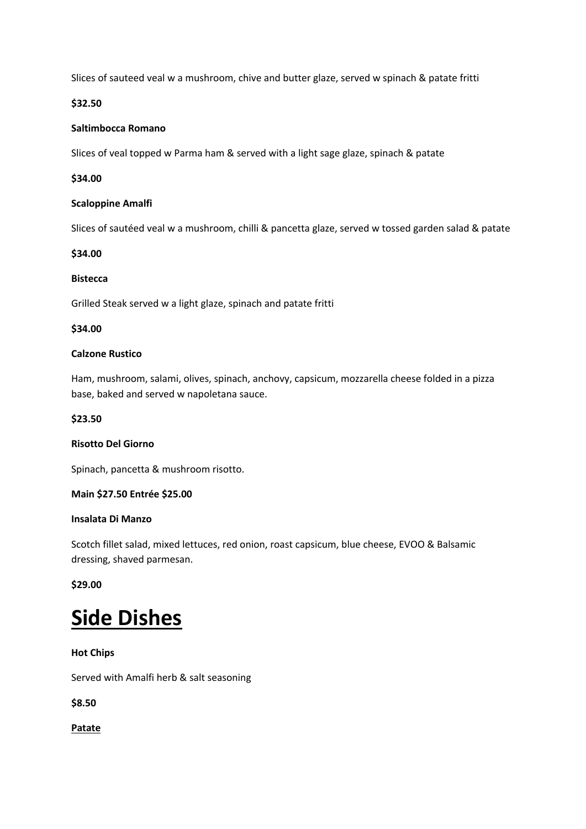Slices of sauteed veal w a mushroom, chive and butter glaze, served w spinach & patate fritti

## **\$32.50**

## **Saltimbocca Romano**

Slices of veal topped w Parma ham & served with a light sage glaze, spinach & patate

## **\$34.00**

## **Scaloppine Amalfi**

Slices of sautéed veal w a mushroom, chilli & pancetta glaze, served w tossed garden salad & patate

## **\$34.00**

## **Bistecca**

Grilled Steak served w a light glaze, spinach and patate fritti

## **\$34.00**

## **Calzone Rustico**

Ham, mushroom, salami, olives, spinach, anchovy, capsicum, mozzarella cheese folded in a pizza base, baked and served w napoletana sauce.

## **\$23.50**

## **Risotto Del Giorno**

Spinach, pancetta & mushroom risotto.

## **Main \$27.50 Entrée \$25.00**

## **Insalata Di Manzo**

Scotch fillet salad, mixed lettuces, red onion, roast capsicum, blue cheese, EVOO & Balsamic dressing, shaved parmesan.

## **\$29.00**

## **Side Dishes**

## **Hot Chips**

Served with Amalfi herb & salt seasoning

**\$8.50**

**Patate**